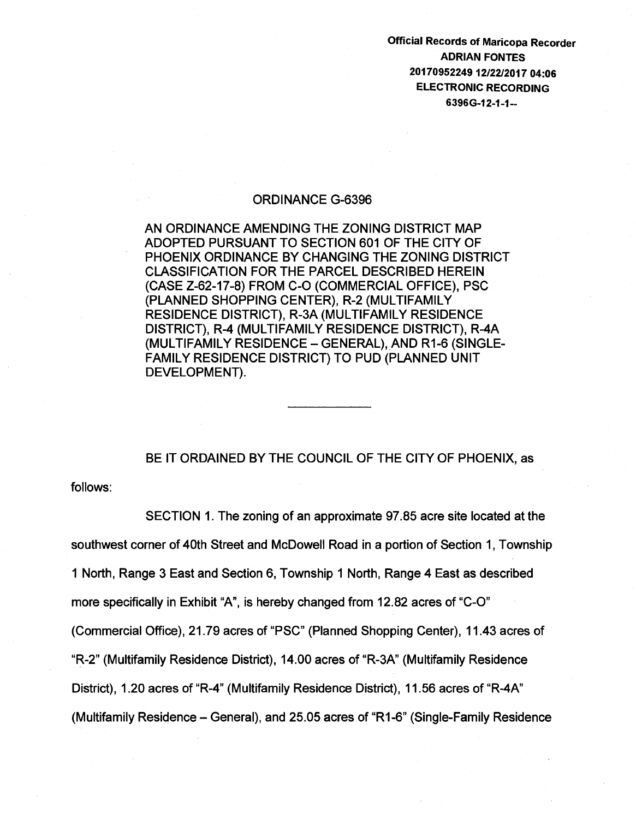Official Records of Maricopa Recorder ADRIAN FONTES 20170952249 12/22/2017 04:06 ELECTRONIC RECORDING 6396G-12-1-1--

## ORDINANCE G-6396

AN ORDINANCE AMENDING THE ZONING DISTRICT MAP ADOPTED PURSUANT TO SECTION 601 OF THE CITY OF PHOENIX ORDINANCE BY CHANGING THE ZONING DISTRICT CLASSIFICATION FOR THE PARCEL DESCRIBED HEREIN (CASE Z-62-17-8) FROM C-0 (COMMERCIAL OFFICE), PSC (PLANNED SHOPPING CENTER), R-2 (MULTIFAMILY RESIDENCE DISTRICT), R-3A (MULTIFAMILY RESIDENCE DISTRICT), R-4 (MULTIFAMILY RESIDENCE DISTRICT), R-4A (MULTIFAMILY RESIDENCE- GENERAL), AND R1-6 (SINGLE-FAMILY RESIDENCE DISTRICT) TO PUD (PLANNED UNIT DEVELOPMENT).

BE IT ORDAINED BY THE COUNCIL OF THE CITY OF PHOENIX, as

follows:

SECTION 1. The zoning of an approximate 97.85 acre site located at the southwest corner of 40th Street and McDowell Road in a portion of Section 1, Township 1 North, Range 3 East and Section 6, Township 1 North, Range 4 East as described more specifically in Exhibit "A", is hereby changed from 12.82 acres of "C-0" (Commercial Office), 21.79 acres of "PSC" (Planned Shopping Center), 11.43 acres of "R-2" (Multifamily Residence District), 14.00 acres of "R-3A" (Multifamily Residence District), 1.20 acres of "R-4" (Multifamily Residence District), 11.56 acres of "R-4A" (Multifamily Residence- General), and 25.05 acres of "R1-6" (Single-Family Residence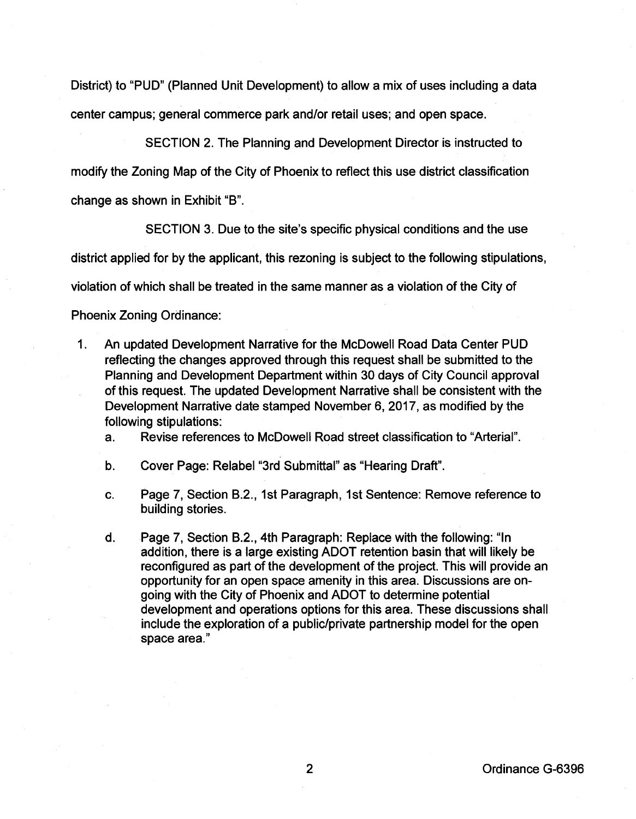District) to "PUD" (Planned Unit Development) to allow a mix of uses including a data center campus; general commerce park and/or retail uses; and open space.

SECTION 2. The Planning and Development Director is instructed to modify the Zoning Map of the City of Phoenix to reflect this use district classification change as shown in Exhibit "8".

SECTION 3. Due to the site's specific physical conditions and the use

district applied for by the applicant, this rezoning is subject to the following stipulations,

violation of which shall be treated in the same manner as a violation of the City of

Phoenix Zoning Ordinance:

1. An updated Development Narrative for the McDowell Road Data Center PUD reflecting the changes approved through this request shall be submitted to the Planning and Development Department within 30 days of City Council approval of this request. The updated Development Narrative shall be consistent with the Development Narrative date stamped November 6, 2017, as modified by the following stipulations:

a. Revise references to McDowell Road street classification to "Arterial".

- b. Cover Page: Relabel "3rd Submittal" as "Hearing Draft".
- c. Page 7, Section 8.2., 1st Paragraph, 1st Sentence: Remove reference to building stories.
- d. Page 7, Section 8.2., 4th Paragraph: Replace with the following: "In addition, there is a large existing ADOT retention basin that will likely be reconfigured as part of the development of the project. This will provide an opportunity for an open space amenity in this area. Discussions are ongoing with the City of Phoenix and ADOT to determine potential development and operations options for this area. These discussions shall include the exploration of a public/private partnership model for the open space area."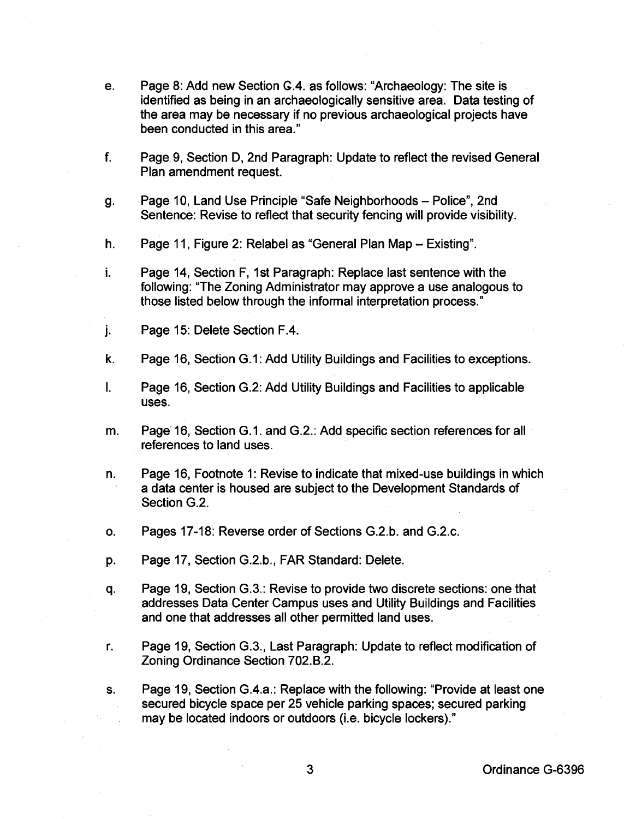- e. Page 8: Add new Section G.4. as follows: "Archaeology: The site is identified as being in an archaeologically sensitive area. Data testing of the area may be necessary if no previous archaeological projects have been conducted in this area."
- f. Page 9, Section D, 2nd Paragraph: Update to reflect the revised General Plan amendment request.
- g. Page 10, Land Use Principle "Safe Neighborhoods- Police", 2nd Sentence: Revise to reflect that security fencing will provide visibility.
- h. Page 11, Figure 2: Relabel as "General Plan Map- Existing".
- i. Page 14, Section F, 1st Paragraph: Replace last sentence with the following: "The Zoning Administrator may approve a use analogous to those listed below through the informal interpretation process."
- j. Page 15: Delete Section F .4.
- k. Page 16, Section G.1: Add Utility Buildings and Facilities to exceptions.
- I. Page 16, Section G.2: Add Utility Buildings and Facilities to applicable uses.
- m. Page~ 16, Section G.1. and G.2.: Add specific section references for all references to land uses.
- n. Page 16, Footnote 1: Revise to indicate that mixed-use buildings in which a data center is housed are subject to the Development Standards of Section G.2.
- o. Pages 17-18: Reverse order of Sections G.2.b. and G.2.c.
- p. Page 17, Section G.2.b., FAR Standard: Delete.
- q. Page 19, Section G.3.: Revise to provide two discrete sections: one that addresses Data Center Campus uses and Utility Buildings and Facilities and one that addresses all other permitted land uses.
- r. Page 19, Section G.3., Last Paragraph: Update to reflect modification of Zoning Ordinance Section 702.B.2.
- s. Page 19, Section G.4.a.: Replace with the following: "Provide at least one secured bicycle space per 25 vehicle parking spaces; secured parking may be located indoors or outdoors (i.e. bicycle lockers)."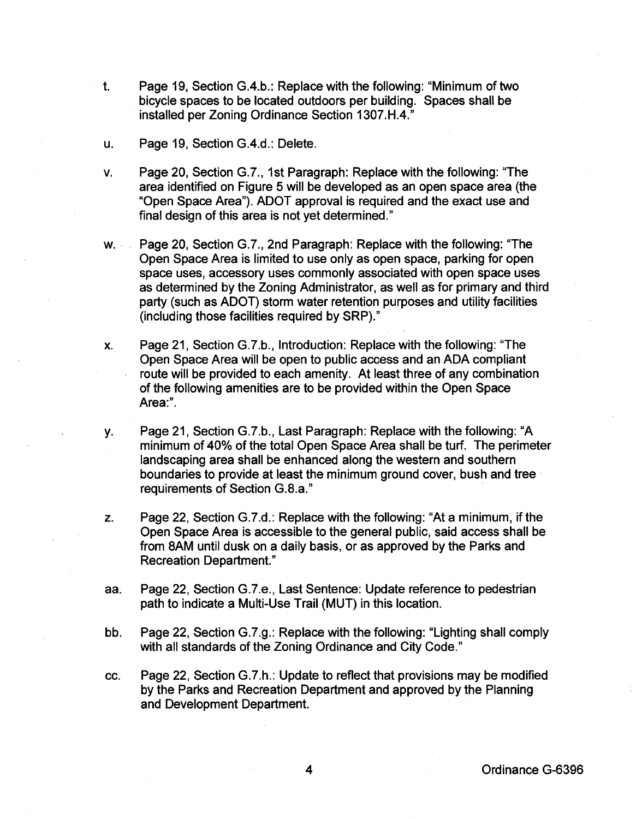- t. Page 19, Section G.4.b.: Replace with the following: "Minimum of two bicycle spaces to be located outdoors per building. Spaces shall be installed per Zoning Ordinance Section 1307.H.4."
- u. Page 19, Section G.4.d.: Delete.
- v. Page 20, Section G.7., 1st Paragraph: Replace with the following: "The area identified on Figure 5 will be developed as an open space area (the "Open Space Area"). ADOT approval is required and the exact use and final design of this area is not yet determined."
- w. · Page 20, Section G.7., 2nd Paragraph: Replace with the following: "The Open Space Area is limited to use only as open space, parking for open space uses, accessory uses commonly associated with open space uses as determined by the Zoning Administrator, as well as for primary and third party (such as ADOT) storm water retention purposes and utility facilities (including those facilities required by SRP)."
- x. Page 21, Section G.7.b., Introduction: Replace with the following: "The Open Space Area will be open to public access and an ADA compliant route will be provided to each amenity. At least three of any combination of the following amenities are to be provided within the Open Space Area:".
- y. Page 21, Section G.7.b., Last Paragraph: Replace with the following: "A minimum of 40% of the total Open Space Area shall be turf. The perimeter landscaping area shall be enhanced along the western and southern boundaries to provide at least the minimum ground cover, bush and tree· requirements of Section G.8.a."
- z. Page 22, Section G.7.d.: Replace with the following: "At a minimum, if the Open Space Area is accessible to the general public, said access shall be from SAM until dusk on a daily basis, or as approved by the Parks and Recreation Department."
- aa. Page 22, Section G.7.e., Last Sentence: Update reference to pedestrian path to indicate a Multi-Use Trail (MUT) in this location.
- bb. Page 22, Section G.7.g.: Replace with the following: "Lighting shall comply with all standards of the Zoning Ordinance and City Code."
- cc. Page 22, Section G.7.h.: Update to reflect that provisions may be modified by the Parks and Recreation Department and approved by the Planning and Development Department.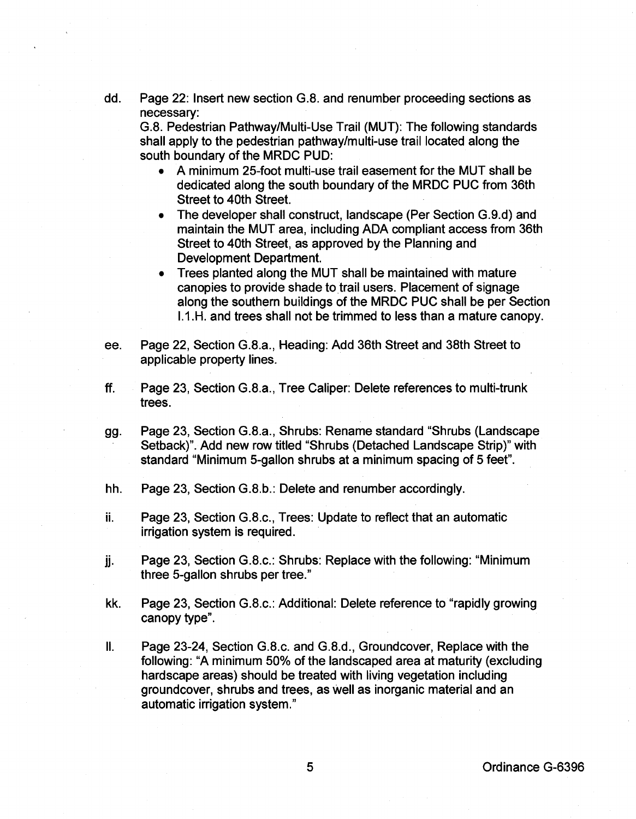dd. Page 22: Insert new section G.B. and renumber proceeding sections as necessary:

G.B. Pedestrian Pathway/Multi-Use Trail (MUT): The following standards shall apply to the pedestrian pathway/multi-use trail located along the south boundary of the MRDC PUD:

- A minimum 25-foot multi-use trail easement for the MUT shall be dedicated along the south boundary of the MRDC PUC from 36th Street to 40th Street.
- The developer shall construct, landscape (Per Section G.9.d) and maintain the MUT area, including ADA compliant access from 36th Street to 40th Street, as approved by the Planning and Development Department.
- Trees planted along the MUT shall be maintained with mature canopies to provide shade to trail users. Placement of signage along the southern buildings of the MRDC PUC shall be per Section 1.1.H. and trees shall not be trimmed to less than a mature canopy.
- ee. Page 22, Section G.8.a., Heading: Add 36th Street and 38th Street to applicable property lines.
- ff. Page 23, Section G.8.a., Tree Caliper: Delete references to multi-trunk trees.
- gg. Page 23, Section G.8.a., Shrubs: Rename standard "Shrubs (Landscape Setback)". Add new row titled "Shrubs (Detached Landscape Strip)" with standard "Minimum 5-gallon shrubs at a minimum spacing of 5 feet".
- hh. Page 23, Section G.8.b.: Delete and renumber accordingly.
- ii. Page 23, Section G.B.c., Trees: Update to reflect that an automatic irrigation system is required.
- jj. Page 23, Section G.8.c.: Shrubs: Replace with the following: "Minimum three 5-gallon shrubs per tree."
- kk. Page 23, Section G.B.c.: Additional: Delete reference to "rapidly growing canopy type".
- II. Page 23-24, Section G.B.c. and G.B.d., Groundcover, Replace with the following: "A minimum 50% of the landscaped area at maturity (excluding hardscape areas) should be treated with living vegetation including groundcover, shrubs and trees, as well as inorganic material and an automatic irrigation system."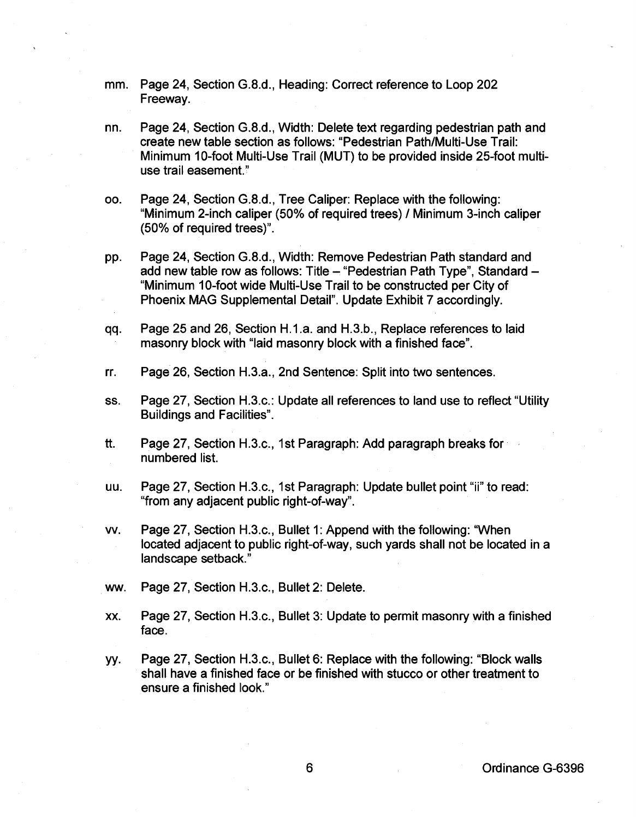- mm. Page 24, Section G.8.d., Heading: Correct reference to Loop 202 Freeway.
- nn. Page 24, Section G.8.d., Width: Delete text regarding pedestrian path and create new table section as follows: "Pedestrian Path/Multi-Use Trail: Minimum 10-foot Multi-Use Trail (MUT) to be provided inside 25-foot multiuse trail easement."
- oo. Page 24, Section G.8.d., Tree Caliper: Replace with the following: "Minimum 2-inch caliper (50% of required trees) I Minimum 3-inch caliper (50% of required trees)".
- pp. Page 24, Section G.8.d., Width: Remove Pedestrian Path standard and add new table row as follows: Title - "Pedestrian Path Type", Standard -"Minimum 10-foot wide Multi-Use Trail to be constructed per City of Phoenix MAG Supplemental Detail". Update Exhibit 7 accordingly.
- qq. Page 25 and 26, Section H.1.a. and H.3.b., Replace references to laid masonry block with "laid masonry block with a finished face".
- rr. Page 26, Section H.3.a., 2nd Sentence: Split into two sentences.
- ss. Page 27, Section H.3.c.: Update all references to land use to reflect "Utility Buildings and Facilities".
- tt. Page 27, Section H.3.c., 1st Paragraph: Add paragraph breaks for numbered list.
- uu. Page 27, Section H.3.c., 1st Paragraph: Update bullet point "ii" to read: "from any adjacent public right-of-way".
- vv. Page 27, Section H.3.c., Bullet 1: Append with the following: "When located adjacent to public right-of-way, such yards shall not be located in a landscape setback."
- ww. Page 27, Section H.3.c., Bullet 2: Delete.
- xx. Page 27, Section H.3.c., Bullet 3: Update to permit masonry with a finished face.
- yy. Page 27, Section H.3.c., Bullet 6: Replace with the following: "Block walls shall have a finished face or be finished with stucco or other treatment to ensure a finished look."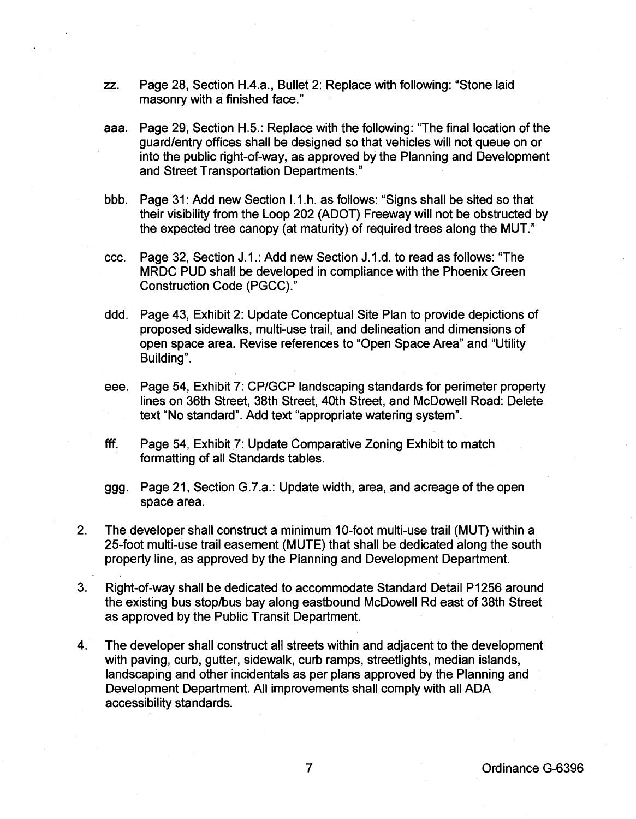- zz. Page 28, Section H.4.a., Bullet 2: Replace with following: "Stone laid masonry with a finished face."
- aaa. Page 29, Section H.5.: Replace with the following: "The final location of the guard/entry offices shall be designed so that vehicles will not queue on or into the public right-of-way, as approved by the Planning and Development and Street Transportation Departments."
- bbb. Page 31: Add new Section 1.1.h. as follows: "Signs shall be sited so that their visibility from the Loop 202 (ADOT) Freeway will not be obstructed by the expected tree canopy (at maturity) of required trees along the MUT."
- ccc. Page 32, Section J.1.: Add new Section J.1.d. to read as follows: "The MRDC PUD shall be developed in compliance with the Phoenix Green Construction Code (PGCC)."
- ddd. Page 43, Exhibit 2: Update Conceptual Site Plan to provide depictions of proposed sidewalks, multi-use trail, and delineation and dimensions of open space area. Revise references to "Open Space Area" and "Utility Building".
- eee. Page 54, Exhibit 7: CP/GCP landscaping standards for perimeter property lines on 36th Street, 38th Street, 40th Street, and McDowell Road: Delete text "No standard". Add text "appropriate watering system".
- fff. Page 54, Exhibit 7: Update Comparative Zoning Exhibit to match formatting of all Standards tables.
- ggg. Page 21, Section G.7.a.: Update width, area, and acreage of the open space area.
- 2. The developer shall construct a minimum 10-foot multi-use trail (MUT) within a 25-foot multi-use trail easement (MUTE) that shall be dedicated along the south property line, as approved by the Planning and Development Department.
- 3. Right-of-way shall be dedicated to accommodate Standard Detail P1256 around the existing bus stop/bus bay along eastbound McDowell Rd east of 38th Street as approved by the Public Transit Department.
- 4. The developer shall construct all streets within and adjacent to the development with paving, curb, gutter, sidewalk, curb ramps, streetlights, median islands, landscaping and other incidentals as per plans approved by the Planning and Development Department. All improvements shall comply with all ADA accessibility standards.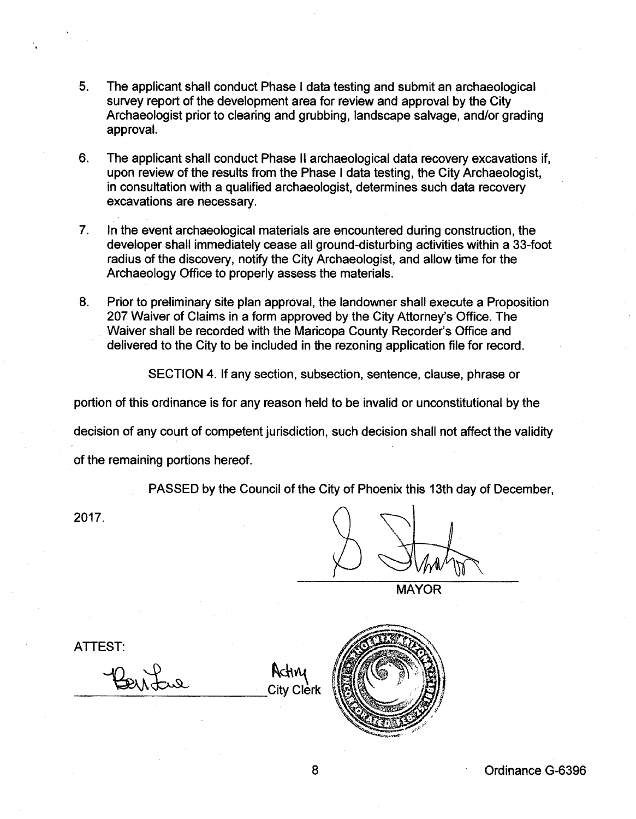- 5. The applicant shall conduct Phase I data testing and submit an archaeological survey report of the development area for review and approval by the City Archaeologist prior to clearing and grubbing, landscape salvage, and/or grading approval.
- 6. The applicant shall conduct Phase II archaeological data recovery excavations if, upon review of the results from the Phase I data testing, the City Archaeologist, in consultation with a qualified archaeologist, determines such data recovery excavations are necessary.
- 7. In the event archaeological materials are encountered during construction, the developer shall immediately cease all ground-disturbing activities within a 33-foot radius of the discovery, notify the City Archaeologist, and allow time for the Archaeology Office to properly assess the materials.
- 8. Prior to preliminary site plan approval, the landowner shall execute a Proposition 207 Waiver of Claims in a form approved by the City Attorney's Office. The Waiver shall be recorded with the Maricopa County Recorder's Office and delivered to the City to be included in the rezoning application file for record.

SECTION 4. If any section, subsection, sentence, clause, phrase or

portion of this ordinance is for any reason held to be invalid or unconstitutional by the

decision of any court of competent jurisdiction, such decision shall not affect the validity

of the remaining portions hereof.

PASSED by the Council of the City of Phoenix this 13th day of December,

2017.

**MAYOR** 

ATTEST:

Peritue Rating

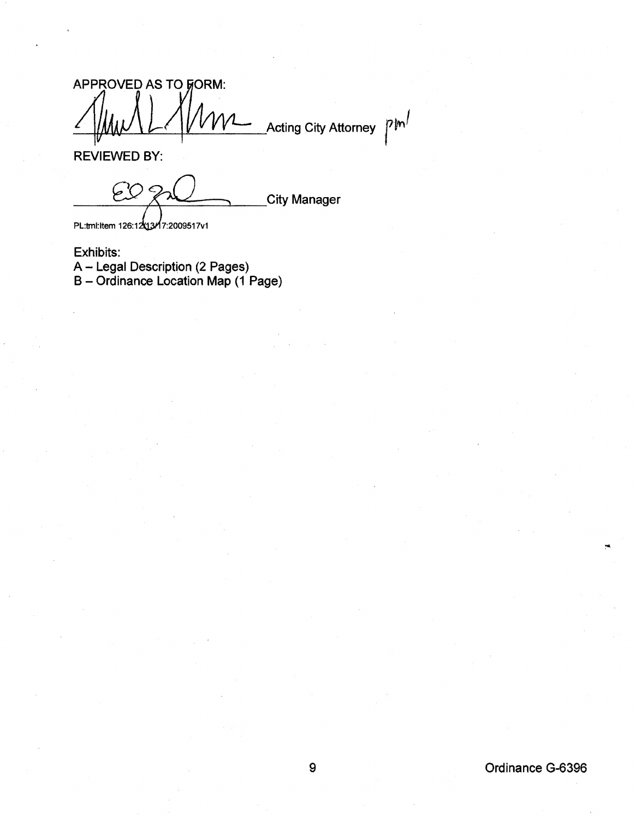APPROVED AS TO FORM:  $p/m$ **Acting City Attorney** 

REVIEWED BY:

 $CO<sub>2</sub>$ **City Manager** PL:tml:ltem 126:12x13x17:2009517v1

Exhibits: A- Legal Description (2 Pages) B- Ordinance Location Map (1 Page)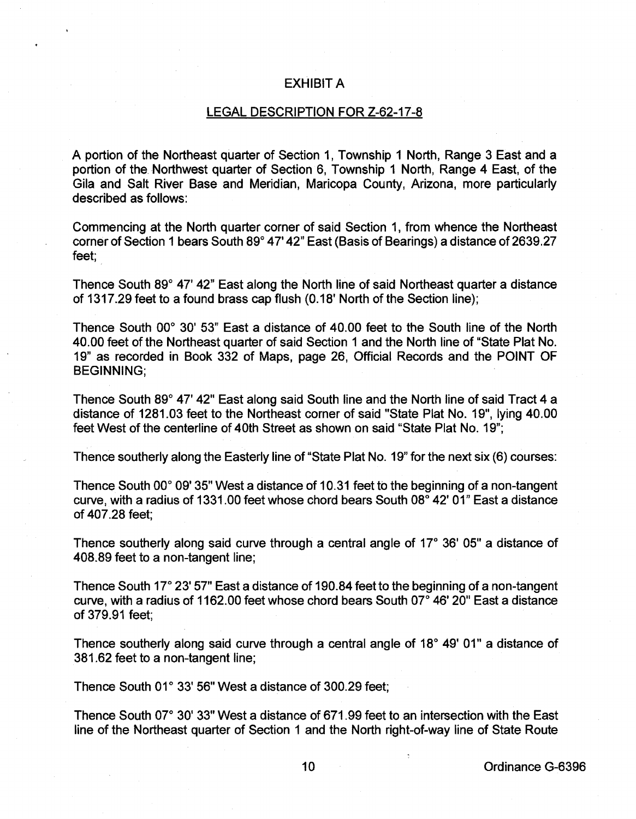## EXHIBIT A

## LEGAL DESCRIPTION FOR Z-62-17-8

A portion of the Northeast quarter of Section 1, Township 1 North, Range 3 East and a portion of the. Northwest quarter of Section 6, Township 1 North, Range 4 East, of the Gila and Salt River Base and Meridian, Maricopa County, Arizona, more particularly described as follows:

Commencing at the North quarter corner of said Section 1, from whence the Northeast corner of Section 1 bears South 89° 4 7' 42" East (Basis of Bearings) a distance of 2639.27 feet;

Thence South 89° 47' 42" East along the North line of said Northeast quarter a distance of 1317.29 feet to a found brass cap flush (0.18' North of the Section line);

Thence South 00° 30' 53" East a distance of 40.00 feet to the South line of the North 40.00 feet of the Northeast quarter of said Section 1 and the North line of "State Plat No. 19" as recorded in Book 332 of Maps, page 26, Official Records and the POINT OF BEGINNING;

Thence South 89° 47' 42" East along said South line and the North line of said Tract 4 a distance of 1281.03 feet to the Northeast corner of said "State Plat No. 19", lying 40.00 feet West of the centerline of 40th Street as shown on said "State Plat No. 19";

Thence southerly along the Easterly line of "State Plat No. 19" for the next six (6) courses:

Thence South 00° 09' 35" West a distance of 10.31 feet to the beginning of a non-tangent curve, with a radius of 1331.00 feet whose chord bears South 08° 42' 01" East a distance of 407.28 feet;

Thence southerly along said curve through a central angle of 17° 36' 05" a distance of 408.89 feet to a non-tangent line;

Thence South 17° 23' 57" East a distance of 190.84 feet to the beginning of a non-tangent curve, with a radius of 1162.00 feet whose chord bears South  $07^{\circ}$  46'  $20^{\circ}$  East a distance of 379.91 feet;

Thence southerly along said curve through a central angle of 18° 49' 01" a distance of 381.62 feet to a non-tangent line;

Thence South 01° 33' 56" West a distance of 300.29 feet;

Thence South 07° 30' 33" West a distance of 671.99 feet to an intersection with the East line of the Northeast quarter of Section 1 and the North right-of-way line of State Route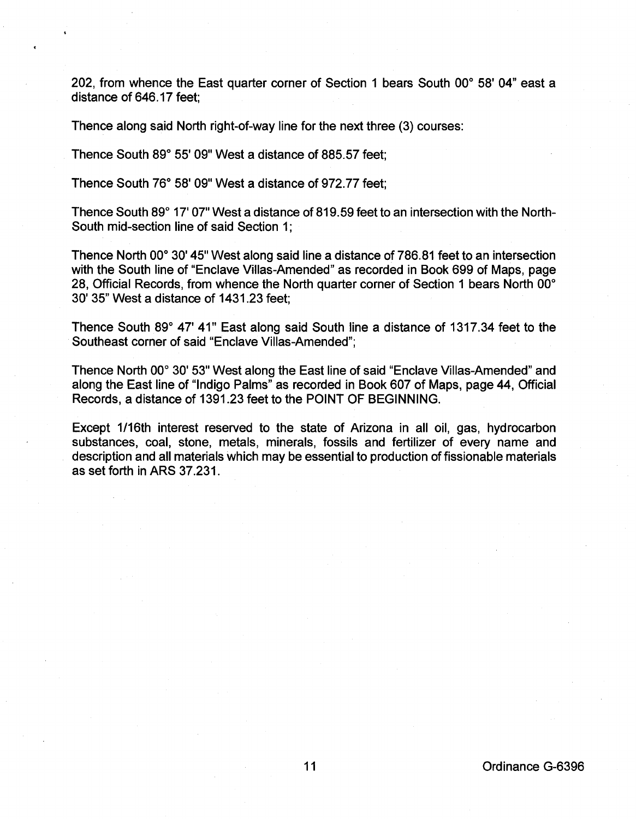202, from whence the East quarter corner of Section 1 bears South 00° 58' 04" east a distance of 646.17 feet;

Thence along said North right-of-way line for the next three (3) courses:

Thence South 89° 55' 09" West a distance of 885.57 feet:

Thence South 76° 58' og" West a distance of g72. 77 feet;

Thence South 89° 17' 07" West a distance of 819.59 feet to an intersection with the North-South mid-section line of said Section 1;

Thence North 00° 30' 45" West along said line a distance of 786.81 feet to an intersection with the South line of "Enclave Villas-Amended" as recorded in Book 6gg of Maps, page 28, Official Records, from whence the North quarter corner of Section 1 bears North 00° 30' 35" West a distance of 1431.23 feet;

Thence South 89° 47' 41" East along said South line a distance of 1317.34 feet to the Southeast corner of said "Enclave Villas-Amended";

Thence North 00° 30' 53" West along the East line of said "Enclave Villas-Amended" and along the East line of "Indigo Palms" as recorded in Book 607 of Maps, page 44, Official Records, a distance of 13g1.23 feet to the POINT OF BEGINNING.

Except 1/16th interest reserved to the state of Arizona in all oil, gas, hydrocarbon substances, coal, stone, metals, minerals, fossils and fertilizer of every name and description and all materials which may be essential to production of fissionable materials as set forth in ARS 37.231.